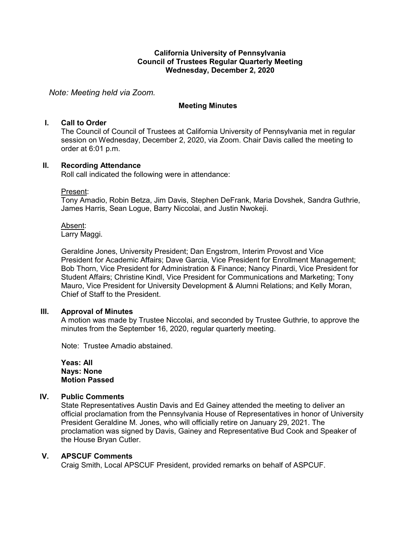#### **California University of Pennsylvania Council of Trustees Regular Quarterly Meeting Wednesday, December 2, 2020**

*Note: Meeting held via Zoom.*

### **Meeting Minutes**

### **I. Call to Order**

The Council of Council of Trustees at California University of Pennsylvania met in regular session on Wednesday, December 2, 2020, via Zoom. Chair Davis called the meeting to order at 6:01 p.m.

#### **II. Recording Attendance**

Roll call indicated the following were in attendance:

#### Present:

Tony Amadio, Robin Betza, Jim Davis, Stephen DeFrank, Maria Dovshek, Sandra Guthrie, James Harris, Sean Logue, Barry Niccolai, and Justin Nwokeji.

#### Absent:

Larry Maggi.

Geraldine Jones, University President; Dan Engstrom, Interim Provost and Vice President for Academic Affairs; Dave Garcia, Vice President for Enrollment Management; Bob Thorn, Vice President for Administration & Finance; Nancy Pinardi, Vice President for Student Affairs; Christine Kindl, Vice President for Communications and Marketing; Tony Mauro, Vice President for University Development & Alumni Relations; and Kelly Moran, Chief of Staff to the President.

## **III. Approval of Minutes**

A motion was made by Trustee Niccolai, and seconded by Trustee Guthrie, to approve the minutes from the September 16, 2020, regular quarterly meeting.

Note: Trustee Amadio abstained.

**Yeas: All Nays: None Motion Passed**

## **IV. Public Comments**

State Representatives Austin Davis and Ed Gainey attended the meeting to deliver an official proclamation from the Pennsylvania House of Representatives in honor of University President Geraldine M. Jones, who will officially retire on January 29, 2021. The proclamation was signed by Davis, Gainey and Representative Bud Cook and Speaker of the House Bryan Cutler.

## **V. APSCUF Comments**

Craig Smith, Local APSCUF President, provided remarks on behalf of ASPCUF.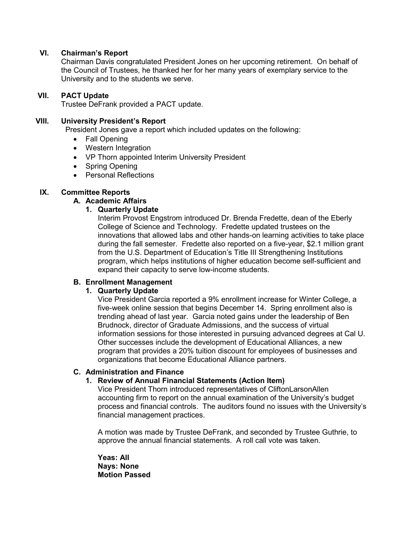### **VI. Chairman's Report**

Chairman Davis congratulated President Jones on her upcoming retirement. On behalf of the Council of Trustees, he thanked her for her many years of exemplary service to the University and to the students we serve.

#### **VII. PACT Update**

Trustee DeFrank provided a PACT update.

#### **VIII. University President's Report**

President Jones gave a report which included updates on the following:

- Fall Opening
- Western Integration
- VP Thorn appointed Interim University President
- Spring Opening
- Personal Reflections

#### **IX. Committee Reports**

#### **A. Academic Affairs**

#### **1. Quarterly Update**

Interim Provost Engstrom introduced Dr. Brenda Fredette, dean of the Eberly College of Science and Technology. Fredette updated trustees on the innovations that allowed labs and other hands-on learning activities to take place during the fall semester. Fredette also reported on a five-year, \$2.1 million grant from the U.S. Department of Education's Title III Strengthening Institutions program, which helps institutions of higher education become self-sufficient and expand their capacity to serve low-income students.

## **B. Enrollment Management**

## **1. Quarterly Update**

Vice President Garcia reported a 9% enrollment increase for Winter College, a five-week online session that begins December 14. Spring enrollment also is trending ahead of last year. Garcia noted gains under the leadership of Ben Brudnock, director of Graduate Admissions, and the success of virtual information sessions for those interested in pursuing advanced degrees at Cal U. Other successes include the development of Educational Alliances, a new program that provides a 20% tuition discount for employees of businesses and organizations that become Educational Alliance partners.

#### **C. Administration and Finance**

## **1. Review of Annual Financial Statements (Action Item)**

Vice President Thorn introduced representatives of CliftonLarsonAllen accounting firm to report on the annual examination of the University's budget process and financial controls. The auditors found no issues with the University's financial management practices.

A motion was made by Trustee DeFrank, and seconded by Trustee Guthrie, to approve the annual financial statements. A roll call vote was taken.

**Yeas: All Nays: None Motion Passed**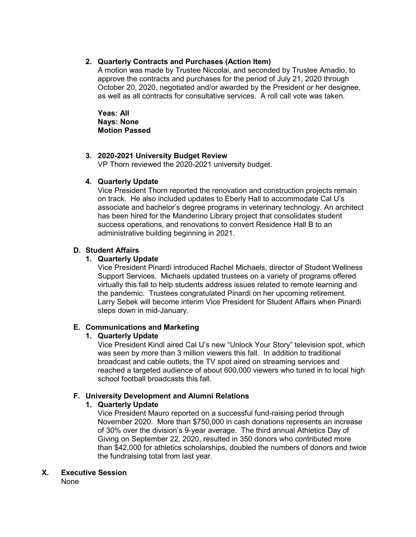## **2. Quarterly Contracts and Purchases (Action Item)**

A motion was made by Trustee Niccolai, and seconded by Trustee Amadio, to approve the contracts and purchases for the period of July 21, 2020 through October 20, 2020, negotiated and/or awarded by the President or her designee, as well as all contracts for consultative services. A roll call vote was taken.

**Yeas: All Nays: None Motion Passed**

## **3. 2020-2021 University Budget Review**

VP Thorn reviewed the 2020-2021 university budget.

## **4. Quarterly Update**

Vice President Thorn reported the renovation and construction projects remain on track. He also included updates to Eberly Hall to accommodate Cal U's associate and bachelor's degree programs in veterinary technology. An architect has been hired for the Manderino Library project that consolidates student success operations, and renovations to convert Residence Hall B to an administrative building beginning in 2021.

## **D. Student Affairs**

## **1. Quarterly Update**

Vice President Pinardi introduced Rachel Michaels, director of Student Wellness Support Services. Michaels updated trustees on a variety of programs offered virtually this fall to help students address issues related to remote learning and the pandemic. Trustees congratulated Pinardi on her upcoming retirement. Larry Sebek will become interim Vice President for Student Affairs when Pinardi steps down in mid-January.

# **E. Communications and Marketing**

# **1. Quarterly Update**

Vice President Kindl aired Cal U's new "Unlock Your Story" television spot, which was seen by more than 3 million viewers this fall. In addition to traditional broadcast and cable outlets, the TV spot aired on streaming services and reached a targeted audience of about 600,000 viewers who tuned in to local high school football broadcasts this fall.

# **F. University Development and Alumni Relations**

# **1. Quarterly Update**

Vice President Mauro reported on a successful fund-raising period through November 2020. More than \$750,000 in cash donations represents an increase of 30% over the division's 9-year average. The third annual Athletics Day of Giving on September 22, 2020, resulted in 350 donors who contributed more than \$42,000 for athletics scholarships, doubled the numbers of donors and twice the fundraising total from last year.

# **X. Executive Session**

None